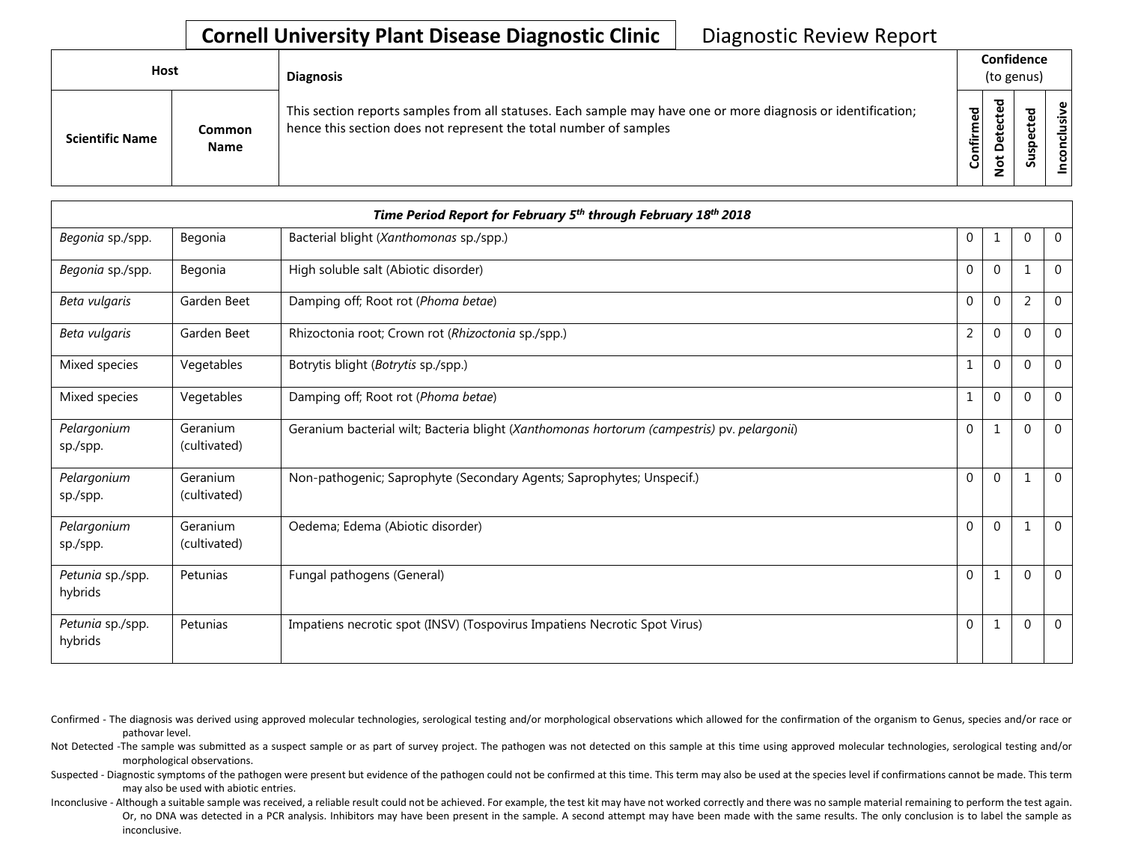## **Cornell University Plant Disease Diagnostic Clinic** | Diagnostic Review Report

| Host                   |                       | <b>Diagnosis</b>                                                                                                                                                                   |                   | Confidence<br>(to genus)  |                                 |            |  |  |
|------------------------|-----------------------|------------------------------------------------------------------------------------------------------------------------------------------------------------------------------------|-------------------|---------------------------|---------------------------------|------------|--|--|
| <b>Scientific Name</b> | Common<br><b>Name</b> | This section reports samples from all statuses. Each sample may have one or more diagnosis or identification;<br>hence this section does not represent the total number of samples | ਠ<br>ω<br>Confirm | ъ<br>ຼື<br>$\Omega$<br>سه | ᇃ<br>Φ<br>د<br>ω<br>௨<br>s<br>n | usive<br>۰ |  |  |

| Time Period Report for February 5 <sup>th</sup> through February 18 <sup>th</sup> 2018 |                          |                                                                                             |              |                |                |                |  |
|----------------------------------------------------------------------------------------|--------------------------|---------------------------------------------------------------------------------------------|--------------|----------------|----------------|----------------|--|
| Begonia sp./spp.                                                                       | Begonia                  | Bacterial blight (Xanthomonas sp./spp.)                                                     | $\mathbf 0$  |                | 0              | $\overline{0}$ |  |
| Begonia sp./spp.                                                                       | Begonia                  | High soluble salt (Abiotic disorder)                                                        | 0            | $\mathbf{0}$   | $\mathbf 1$    | $\Omega$       |  |
| Beta vulgaris                                                                          | Garden Beet              | Damping off; Root rot (Phoma betae)                                                         | $\mathbf{0}$ | $\Omega$       | $\overline{2}$ | $\Omega$       |  |
| Beta vulgaris                                                                          | Garden Beet              | Rhizoctonia root; Crown rot (Rhizoctonia sp./spp.)                                          | 2            | $\mathbf{0}$   | $\mathbf 0$    | 0              |  |
| Mixed species                                                                          | Vegetables               | Botrytis blight (Botrytis sp./spp.)                                                         | 1            | $\mathbf{0}$   | $\Omega$       | $\mathbf 0$    |  |
| Mixed species                                                                          | Vegetables               | Damping off; Root rot (Phoma betae)                                                         | $\mathbf{1}$ | $\overline{0}$ | $\mathbf{0}$   | $\mathbf 0$    |  |
| Pelargonium<br>sp./spp.                                                                | Geranium<br>(cultivated) | Geranium bacterial wilt; Bacteria blight (Xanthomonas hortorum (campestris) pv. pelargonii) | $\mathbf{0}$ |                | $\Omega$       | $\Omega$       |  |
| Pelargonium<br>sp./spp.                                                                | Geranium<br>(cultivated) | Non-pathogenic; Saprophyte (Secondary Agents; Saprophytes; Unspecif.)                       | $\mathbf{0}$ | $\mathbf{0}$   | 1              | $\Omega$       |  |
| Pelargonium<br>sp./spp.                                                                | Geranium<br>(cultivated) | Oedema; Edema (Abiotic disorder)                                                            | $\mathbf{0}$ | $\mathbf{0}$   | $\mathbf 1$    | $\mathbf{0}$   |  |
| Petunia sp./spp.<br>hybrids                                                            | Petunias                 | Fungal pathogens (General)                                                                  | $\mathbf{0}$ | 1              | $\mathbf{0}$   | $\mathbf 0$    |  |
| Petunia sp./spp.<br>hybrids                                                            | Petunias                 | Impatiens necrotic spot (INSV) (Tospovirus Impatiens Necrotic Spot Virus)                   | $\mathbf 0$  |                | $\Omega$       | 0              |  |

Confirmed - The diagnosis was derived using approved molecular technologies, serological testing and/or morphological observations which allowed for the confirmation of the organism to Genus, species and/or race or pathovar level.

Not Detected -The sample was submitted as a suspect sample or as part of survey project. The pathogen was not detected on this sample at this time using approved molecular technologies, serological testing and/or morphological observations.

Suspected - Diagnostic symptoms of the pathogen were present but evidence of the pathogen could not be confirmed at this time. This term may also be used at the species level if confirmations cannot be made. This term may also be used with abiotic entries.

Inconclusive - Although a suitable sample was received, a reliable result could not be achieved. For example, the test kit may have not worked correctly and there was no sample material remaining to perform the test again. Or, no DNA was detected in a PCR analysis. Inhibitors may have been present in the sample. A second attempt may have been made with the same results. The only conclusion is to label the sample as inconclusive.